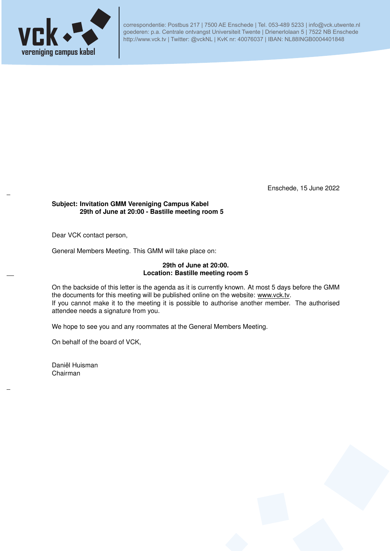

correspondentie: Postbus 217 | 7500 AE Enschede | Tel. 053-489 5233 | info@vck.utwente.nl goederen: p.a. Centrale ontvangst Universiteit Twente | Drienerlolaan 5 | 7522 NB Enschede http://www.vck.tv | Twitter: @vckNL | KvK nr: 40076037 | IBAN: NL88INGB0004401848

Enschede, 15 June 2022

### **Subject: Invitation GMM Vereniging Campus Kabel 29th of June at 20:00 - Bastille meeting room 5**

Dear VCK contact person,

General Members Meeting. This GMM will take place on:

## **29th of June at 20:00. Location: Bastille meeting room 5**

On the backside of this letter is the agenda as it is currently known. At most 5 days before the GMM the documents for this meeting will be published online on the website: www.vck.tv. If you cannot make it to the meeting it is possible to authorise another member. The authorised attendee needs a signature from you.

We hope to see you and any roommates at the General Members Meeting.

On behalf of the board of VCK,

Daniël Huisman Chairman